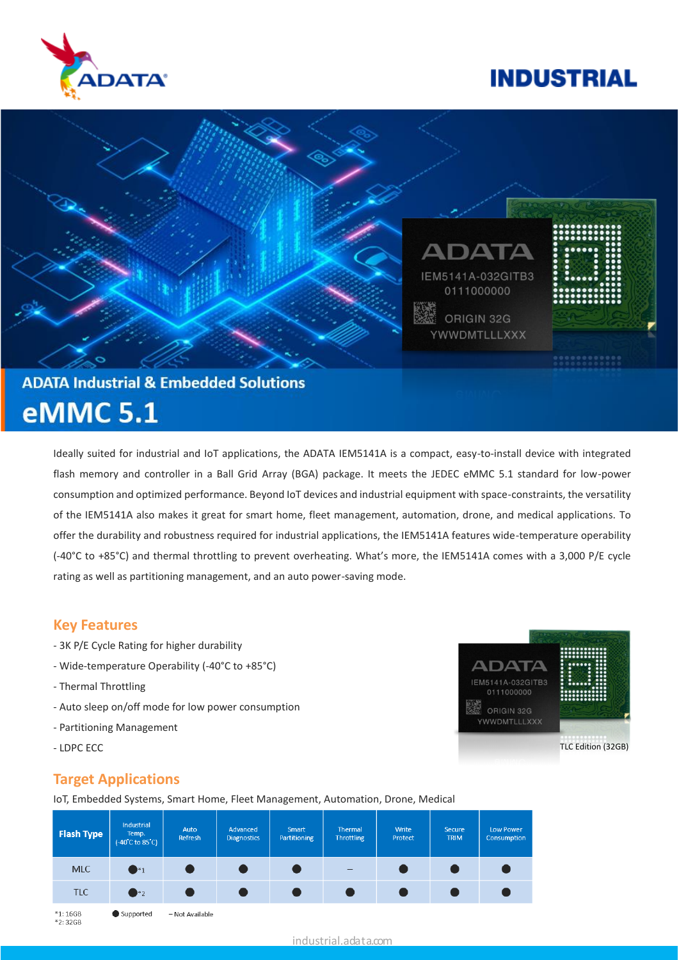

# **INDUSTRIAL**

TLC Edition (32GB)

**ADATA** IEM5141A-032GITB3 0111000000

ORIGIN 32G **YWWDMTLLLXXX** 

醒



# **eMMC 5.1**

Ideally suited for industrial and IoT applications, the ADATA IEM5141A is a compact, easy-to-install device with integrated flash memory and controller in a Ball Grid Array (BGA) package. It meets the JEDEC eMMC 5.1 standard for low-power consumption and optimized performance. Beyond IoT devices and industrial equipment with space-constraints, the versatility of the IEM5141A also makes it great for smart home, fleet management, automation, drone, and medical applications. To offer the durability and robustness required for industrial applications, the IEM5141A features wide-temperature operability (-40°C to +85°C) and thermal throttling to prevent overheating. What's more, the IEM5141A comes with a 3,000 P/E cycle rating as well as partitioning management, and an auto power-saving mode.

#### **Key Features**

- 3K P/E Cycle Rating for higher durability
- Wide-temperature Operability (-40°C to +85°C)
- Thermal Throttling
- Auto sleep on/off mode for low power consumption
- Partitioning Management
- LDPC ECC

### **Target Applications**

IoT, Embedded Systems, Smart Home, Fleet Management, Automation, Drone, Medical



\*2:32GB

industrial.adata.com